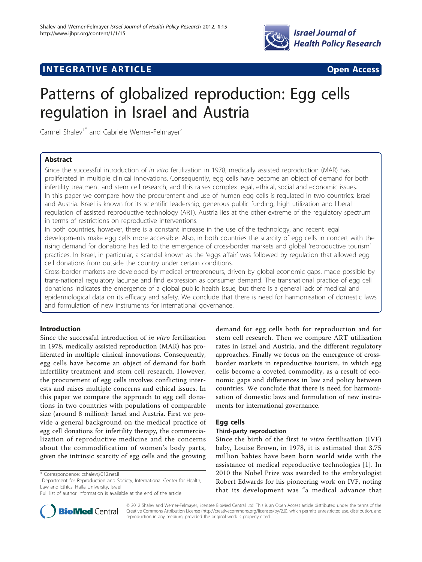

## **INTEGRATIVE ARTICLE Example 2018 CONSIDERED ACCESS**

# Patterns of globalized reproduction: Egg cells regulation in Israel and Austria

Carmel Shalev<sup>1\*</sup> and Gabriele Werner-Felmayer<sup>2</sup>

## Abstract

Since the successful introduction of in vitro fertilization in 1978, medically assisted reproduction (MAR) has proliferated in multiple clinical innovations. Consequently, egg cells have become an object of demand for both infertility treatment and stem cell research, and this raises complex legal, ethical, social and economic issues. In this paper we compare how the procurement and use of human egg cells is regulated in two countries: Israel and Austria. Israel is known for its scientific leadership, generous public funding, high utilization and liberal regulation of assisted reproductive technology (ART). Austria lies at the other extreme of the regulatory spectrum in terms of restrictions on reproductive interventions.

In both countries, however, there is a constant increase in the use of the technology, and recent legal developments make egg cells more accessible. Also, in both countries the scarcity of egg cells in concert with the rising demand for donations has led to the emergence of cross-border markets and global 'reproductive tourism' practices. In Israel, in particular, a scandal known as the 'eggs affair' was followed by regulation that allowed egg cell donations from outside the country under certain conditions.

Cross-border markets are developed by medical entrepreneurs, driven by global economic gaps, made possible by trans-national regulatory lacunae and find expression as consumer demand. The transnational practice of egg cell donations indicates the emergence of a global public health issue, but there is a general lack of medical and epidemiological data on its efficacy and safety. We conclude that there is need for harmonisation of domestic laws and formulation of new instruments for international governance.

## Introduction

Since the successful introduction of in vitro fertilization in 1978, medically assisted reproduction (MAR) has proliferated in multiple clinical innovations. Consequently, egg cells have become an object of demand for both infertility treatment and stem cell research. However, the procurement of egg cells involves conflicting interests and raises multiple concerns and ethical issues. In this paper we compare the approach to egg cell donations in two countries with populations of comparable size (around 8 million): Israel and Austria. First we provide a general background on the medical practice of egg cell donations for infertility therapy, the commercialization of reproductive medicine and the concerns about the commodification of women's body parts, given the intrinsic scarcity of egg cells and the growing



## Egg cells

#### Third-party reproduction

Since the birth of the first in vitro fertilisation (IVF) baby, Louise Brown, in 1978, it is estimated that 3.75 million babies have been born world wide with the assistance of medical reproductive technologies [\[1\]](#page-9-0). In 2010 the Nobel Prize was awarded to the embryologist Robert Edwards for his pioneering work on IVF, noting that its development was "a medical advance that



© 2012 Shalev and Werner-Felmayer; licensee BioMed Central Ltd. This is an Open Access article distributed under the terms of the Creative Commons Attribution License (<http://creativecommons.org/licenses/by/2.0>), which permits unrestricted use, distribution, and reproduction in any medium, provided the original work is properly cited.

<sup>\*</sup> Correspondence: [cshalev@012.net.il](mailto:cshalev@012.net.il)

<sup>&</sup>lt;sup>1</sup>Department for Reproduction and Society, International Center for Health, Law and Ethics, Haifa University, Israel

Full list of author information is available at the end of the article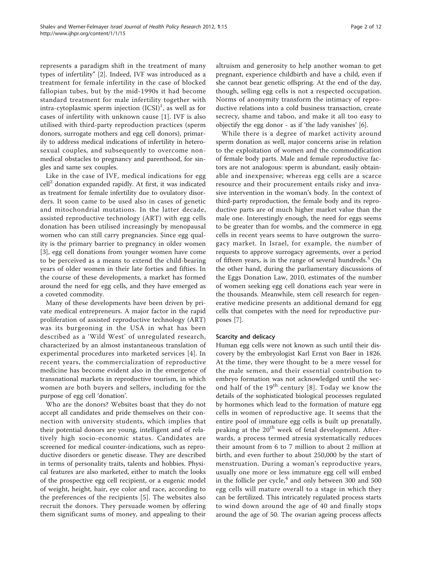represents a paradigm shift in the treatment of many types of infertility" [\[2](#page-9-0)]. Indeed, IVF was introduced as a treatment for female infertility in the case of blocked fallopian tubes, but by the mid-1990s it had become standard treatment for male infertility together with intra-cytoplasmic sperm injection  $\left(\text{ICSI}\right)^{1}$ , as well as for cases of infertility with unknown cause [[1\]](#page-9-0). IVF is also utilised with third-party reproduction practices (sperm donors, surrogate mothers and egg cell donors), primarily to address medical indications of infertility in heterosexual couples, and subsequently to overcome nonmedical obstacles to pregnancy and parenthood, for singles and same sex couples.

Like in the case of IVF, medical indications for egg  $\text{cell}^2$  donation expanded rapidly. At first, it was indicated as treatment for female infertility due to ovulatory disorders. It soon came to be used also in cases of genetic and mitochondrial mutations. In the latter decade, assisted reproductive technology (ART) with egg cells donation has been utilised increasingly by menopausal women who can still carry pregnancies. Since egg quality is the primary barrier to pregnancy in older women [[3\]](#page-9-0), egg cell donations from younger women have come to be perceived as a means to extend the child-bearing years of older women in their late forties and fifties. In the course of these developments, a market has formed around the need for egg cells, and they have emerged as a coveted commodity.

Many of these developments have been driven by private medical entrepreneurs. A major factor in the rapid proliferation of assisted reproductive technology (ART) was its burgeoning in the USA in what has been described as a 'Wild West' of unregulated research, characterized by an almost instantaneous translation of experimental procedures into marketed services [[4\]](#page-9-0). In recent years, the commercialization of reproductive medicine has become evident also in the emergence of transnational markets in reproductive tourism, in which women are both buyers and sellers, including for the purpose of egg cell 'donation'.

Who are the donors? Websites boast that they do not accept all candidates and pride themselves on their connection with university students, which implies that their potential donors are young, intelligent and of relatively high socio-economic status. Candidates are screened for medical counter-indications, such as reproductive disorders or genetic disease. They are described in terms of personality traits, talents and hobbies. Physical features are also marketed, either to match the looks of the prospective egg cell recipient, or a eugenic model of weight, height, hair, eye color and race, according to the preferences of the recipients [\[5](#page-9-0)]. The websites also recruit the donors. They persuade women by offering them significant sums of money, and appealing to their altruism and generosity to help another woman to get pregnant, experience childbirth and have a child, even if she cannot bear genetic offspring. At the end of the day, though, selling egg cells is not a respected occupation. Norms of anonymity transform the intimacy of reproductive relations into a cold business transaction, create secrecy, shame and taboo, and make it all too easy to objectify the egg donor - as if 'the lady vanishes' [[6\]](#page-9-0).

While there is a degree of market activity around sperm donation as well, major concerns arise in relation to the exploitation of women and the commodification of female body parts. Male and female reproductive factors are not analogous: sperm is abundant, easily obtainable and inexpensive; whereas egg cells are a scarce resource and their procurement entails risky and invasive intervention in the woman's body. In the context of third-party reproduction, the female body and its reproductive parts are of much higher market value than the male one. Interestingly enough, the need for eggs seems to be greater than for wombs, and the commerce in egg cells in recent years seems to have outgrown the surrogacy market. In Israel, for example, the number of requests to approve surrogacy agreements, over a period of fifteen years, is in the range of several hundreds.<sup>3</sup> On the other hand, during the parliamentary discussions of the Eggs Donation Law, 2010, estimates of the number of women seeking egg cell donations each year were in the thousands. Meanwhile, stem cell research for regenerative medicine presents an additional demand for egg cells that competes with the need for reproductive purposes [\[7](#page-9-0)].

#### Scarcity and delicacy

Human egg cells were not known as such until their discovery by the embryologist Karl Ernst von Baer in 1826. At the time, they were thought to be a mere vessel for the male semen, and their essential contribution to embryo formation was not acknowledged until the second half of the  $19<sup>th</sup>$  century [\[8\]](#page-9-0). Today we know the details of the sophisticated biological processes regulated by hormones which lead to the formation of mature egg cells in women of reproductive age. It seems that the entire pool of immature egg cells is built up prenatally, peaking at the  $20<sup>th</sup>$  week of fetal development. Afterwards, a process termed atresia systematically reduces their amount from 6 to 7 million to about 2 million at birth, and even further to about 250,000 by the start of menstruation. During a woman's reproductive years, usually one more or less immature egg cell will embed in the follicle per cycle, $4$  and only between 300 and 500 egg cells will mature overall to a stage in which they can be fertilized. This intricately regulated process starts to wind down around the age of 40 and finally stops around the age of 50. The ovarian ageing process affects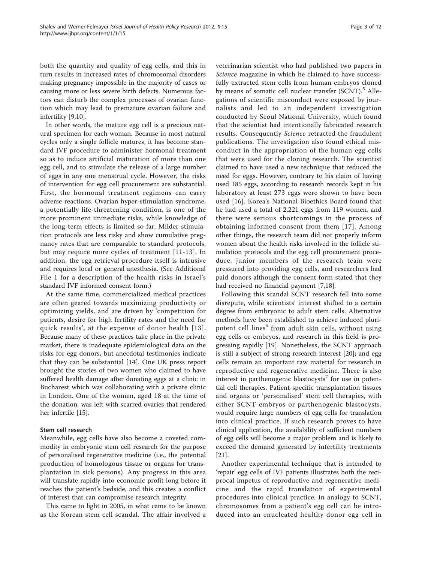both the quantity and quality of egg cells, and this in turn results in increased rates of chromosomal disorders making pregnancy impossible in the majority of cases or causing more or less severe birth defects. Numerous factors can disturb the complex processes of ovarian function which may lead to premature ovarian failure and infertility [\[9,10\]](#page-9-0).

In other words, the mature egg cell is a precious natural specimen for each woman. Because in most natural cycles only a single follicle matures, it has become standard IVF procedure to administer hormonal treatment so as to induce artificial maturation of more than one egg cell, and to stimulate the release of a large number of eggs in any one menstrual cycle. However, the risks of intervention for egg cell procurement are substantial. First, the hormonal treatment regimens can carry adverse reactions. Ovarian hyper-stimulation syndrome, a potentially life-threatening condition, is one of the more prominent immediate risks, while knowledge of the long-term effects is limited so far. Milder stimulation protocols are less risky and show cumulative pregnancy rates that are comparable to standard protocols, but may require more cycles of treatment [[11-13](#page-9-0)]. In addition, the egg retrieval procedure itself is intrusive and requires local or general anesthesia. (See Additional File [1](#page-9-0) for a description of the health risks in Israel's standard IVF informed consent form.)

At the same time, commercialized medical practices are often geared towards maximizing productivity or optimizing yields, and are driven by 'competition for patients, desire for high fertility rates and the need for quick results', at the expense of donor health [[13\]](#page-9-0). Because many of these practices take place in the private market, there is inadequate epidemiological data on the risks for egg donors, but anecdotal testimonies indicate that they can be substantial [[14\]](#page-9-0). One UK press report brought the stories of two women who claimed to have suffered health damage after donating eggs at a clinic in Bucharest which was collaborating with a private clinic in London. One of the women, aged 18 at the time of the donation, was left with scarred ovaries that rendered her infertile [\[15\]](#page-9-0).

#### Stem cell research

Meanwhile, egg cells have also become a coveted commodity in embryonic stem cell research for the purpose of personalised regenerative medicine (i.e., the potential production of homologous tissue or organs for transplantation in sick persons). Any progress in this area will translate rapidly into economic profit long before it reaches the patient's bedside, and this creates a conflict of interest that can compromise research integrity.

This came to light in 2005, in what came to be known as the Korean stem cell scandal. The affair involved a veterinarian scientist who had published two papers in Science magazine in which he claimed to have successfully extracted stem cells from human embryos cloned by means of somatic cell nuclear transfer (SCNT).<sup>5</sup> Allegations of scientific misconduct were exposed by journalists and led to an independent investigation conducted by Seoul National University, which found that the scientist had intentionally fabricated research results. Consequently Science retracted the fraudulent publications. The investigation also found ethical misconduct in the appropriation of the human egg cells that were used for the cloning research. The scientist claimed to have used a new technique that reduced the need for eggs. However, contrary to his claim of having used 185 eggs, according to research records kept in his laboratory at least 273 eggs were shown to have been used [[16\]](#page-9-0). Korea's National Bioethics Board found that he had used a total of 2,221 eggs from 119 women, and there were serious shortcomings in the process of obtaining informed consent from them [[17](#page-9-0)]. Among other things, the research team did not properly inform women about the health risks involved in the follicle stimulation protocols and the egg cell procurement procedure, junior members of the research team were pressured into providing egg cells, and researchers had paid donors although the consent form stated that they had received no financial payment [\[7,18\]](#page-9-0).

Following this scandal SCNT research fell into some disrepute, while scientists' interest shifted to a certain degree from embryonic to adult stem cells. Alternative methods have been established to achieve induced pluripotent cell lines<sup>6</sup> from adult skin cells, without using egg cells or embryos, and research in this field is progressing rapidly [[19\]](#page-9-0). Nonetheless, the SCNT approach is still a subject of strong research interest [[20\]](#page-9-0); and egg cells remain an important raw material for research in reproductive and regenerative medicine. There is also interest in parthenogenic blastocysts<sup>7</sup> for use in potential cell therapies. Patient-specific transplantation tissues and organs or 'personalised' stem cell therapies, with either SCNT embryos or parthenogenic blastocysts, would require large numbers of egg cells for translation into clinical practice. If such research proves to have clinical application, the availability of sufficient numbers of egg cells will become a major problem and is likely to exceed the demand generated by infertility treatments [[21\]](#page-9-0).

Another experimental technique that is intended to 'repair' egg cells of IVF patients illustrates both the reciprocal impetus of reproductive and regenerative medicine and the rapid translation of experimental procedures into clinical practice. In analogy to SCNT, chromosomes from a patient's egg cell can be introduced into an enucleated healthy donor egg cell in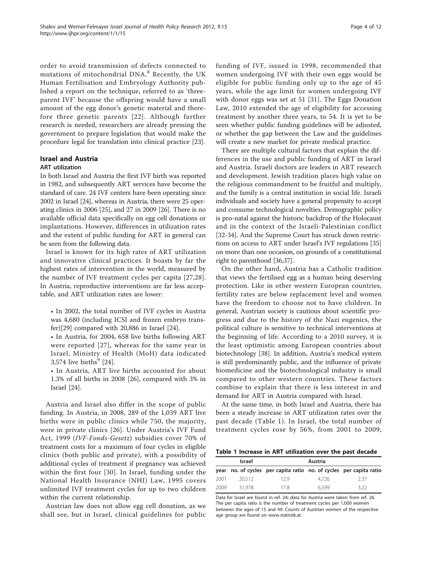order to avoid transmission of defects connected to mutations of mitochondrial DNA.<sup>8</sup> Recently, the UK Human Fertilisation and Embryology Authority published a report on the technique, referred to as 'threeparent IVF' because the offspring would have a small amount of the egg donor's genetic material and therefore three genetic parents [[22\]](#page-10-0). Although further research is needed, researchers are already pressing the government to prepare legislation that would make the procedure legal for translation into clinical practice [\[23](#page-10-0)].

## Israel and Austria

## ART utilization

In both Israel and Austria the first IVF birth was reported in 1982, and subsequently ART services have become the standard of care. 24 IVF centers have been operating since 2002 in Israel [\[24\]](#page-10-0), whereas in Austria, there were 25 operating clinics in 2006 [\[25\]](#page-10-0), and 27 in 2009 [[26](#page-10-0)]. There is no available official data specifically on egg cell donations or implantations. However, differences in utilization rates and the extent of public funding for ART in general can be seen from the following data.

Israel is known for its high rates of ART utilization and innovative clinical practices. It boasts by far the highest rates of intervention in the world, measured by the number of IVF treatment cycles per capita [[27,28](#page-10-0)]. In Austria, reproductive interventions are far less acceptable, and ART utilization rates are lower:

• In 2002, the total number of IVF cycles in Austria was 4,680 (including ICSI and frozen embryo transfer)[[29\]](#page-10-0) compared with 20,886 in Israel [[24\]](#page-10-0).

• In Austria, for 2004, 658 live births following ART were reported [[27\]](#page-10-0), whereas for the same year in Israel, Ministry of Health (MoH) data indicated 3,574 live births $^9$  [\[24](#page-10-0)].

• In Austria, ART live births accounted for about 1.3% of all births in 2008 [\[26](#page-10-0)], compared with 3% in Israel [[24\]](#page-10-0).

Austria and Israel also differ in the scope of public funding. In Austria, in 2008, 289 of the 1,039 ART live births were in public clinics while 750, the majority, were in private clinics [[26](#page-10-0)]. Under Austria's IVF Fund Act, 1999 (IVF-Fonds-Gesetz) subsidies cover 70% of treatment costs for a maximum of four cycles in eligible clinics (both public and private), with a possibility of additional cycles of treatment if pregnancy was achieved within the first four [[30](#page-10-0)]. In Israel, funding under the National Health Insurance (NHI) Law, 1995 covers unlimited IVF treatment cycles for up to two children within the current relationship.

Austrian law does not allow egg cell donation, as we shall see, but in Israel, clinical guidelines for public funding of IVF, issued in 1998, recommended that women undergoing IVF with their own eggs would be eligible for public funding only up to the age of 45 years, while the age limit for women undergoing IVF with donor eggs was set at 51 [[31](#page-10-0)]. The Eggs Donation Law, 2010 extended the age of eligibility for accessing treatment by another three years, to 54. It is yet to be seen whether public funding guidelines will be adjusted, or whether the gap between the Law and the guidelines will create a new market for private medical practice.

There are multiple cultural factors that explain the differences in the use and public funding of ART in Israel and Austria. Israeli doctors are leaders in ART research and development. Jewish tradition places high value on the religious commandment to be fruitful and multiply, and the family is a central institution in social life. Israeli individuals and society have a general propensity to accept and consume technological novelties. Demographic policy is pro-natal against the historic backdrop of the Holocaust and in the context of the Israeli-Palestinian conflict [[32-34\]](#page-10-0). And the Supreme Court has struck down restrictions on access to ART under Israel's IVF regulations [[35](#page-10-0)] on more than one occasion, on grounds of a constitutional right to parenthood [[36,37\]](#page-10-0).

On the other hand, Austria has a Catholic tradition that views the fertilised egg as a human being deserving protection. Like in other western European countries, fertility rates are below replacement level and women have the freedom to choose not to have children. In general, Austrian society is cautious about scientific progress and due to the history of the Nazi eugenics, the political culture is sensitive to technical interventions at the beginning of life. According to a 2010 survey, it is the least optimistic among European countries about biotechnology [\[38](#page-10-0)]. In addition, Austria's medical system is still predominantly public, and the influence of private biomedicine and the biotechnological industry is small compared to other western countries. These factors combine to explain that there is less interest in and demand for ART in Austria compared with Israel.

At the same time, in both Israel and Austria, there has been a steady increase in ART utilization rates over the past decade (Table 1). In Israel, the total number of treatment cycles rose by 56%, from 2001 to 2009,

Table 1 Increase in ART utilization over the past decade

|      | Israel |                                                                    | Austria |     |
|------|--------|--------------------------------------------------------------------|---------|-----|
|      |        | year no. of cycles per capita ratio no. of cycles per capita ratio |         |     |
| 2001 | 20.512 | 129                                                                | 4.726   | 237 |
| 2009 | 31.978 | 178                                                                | 6.599   | 322 |

Data for Israel are found in ref. 24; data for Austria were taken from ref. 26. The per capita ratio is the number of treatment cycles per 1,000 women between the ages of 15 and 49. Counts of Austrian women of the respective age group are found on [www.statistik.at.](www.statistik.at)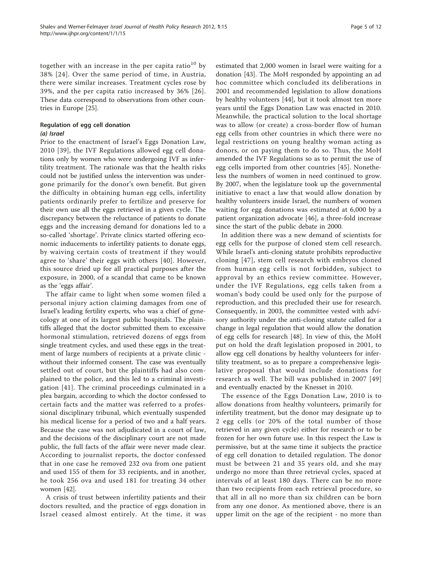together with an increase in the per capita ratio<sup>10</sup> by 38% [[24\]](#page-10-0). Over the same period of time, in Austria, there were similar increases. Treatment cycles rose by 39%, and the per capita ratio increased by 36% [[26\]](#page-10-0). These data correspond to observations from other countries in Europe [\[25\]](#page-10-0).

## Regulation of egg cell donation (a) Israel

Prior to the enactment of Israel's Eggs Donation Law, 2010 [[39](#page-10-0)], the IVF Regulations allowed egg cell donations only by women who were undergoing IVF as infertility treatment. The rationale was that the health risks could not be justified unless the intervention was undergone primarily for the donor's own benefit. But given the difficulty in obtaining human egg cells, infertility patients ordinarily prefer to fertilize and preserve for their own use all the eggs retrieved in a given cycle. The discrepancy between the reluctance of patients to donate eggs and the increasing demand for donations led to a so-called 'shortage'. Private clinics started offering economic inducements to infertility patients to donate eggs, by waiving certain costs of treatment if they would agree to 'share' their eggs with others [[40](#page-10-0)]. However, this source dried up for all practical purposes after the exposure, in 2000, of a scandal that came to be known as the 'eggs affair'.

The affair came to light when some women filed a personal injury action claiming damages from one of Israel's leading fertility experts, who was a chief of gynecology at one of its largest public hospitals. The plaintiffs alleged that the doctor submitted them to excessive hormonal stimulation, retrieved dozens of eggs from single treatment cycles, and used these eggs in the treatment of large numbers of recipients at a private clinic without their informed consent. The case was eventually settled out of court, but the plaintiffs had also complained to the police, and this led to a criminal investigation [[41](#page-10-0)]. The criminal proceedings culminated in a plea bargain, according to which the doctor confessed to certain facts and the matter was referred to a professional disciplinary tribunal, which eventually suspended his medical license for a period of two and a half years. Because the case was not adjudicated in a court of law, and the decisions of the disciplinary court are not made public, the full facts of the affair were never made clear. According to journalist reports, the doctor confessed that in one case he removed 232 ova from one patient and used 155 of them for 33 recipients, and in another, he took 256 ova and used 181 for treating 34 other women [[42\]](#page-10-0).

A crisis of trust between infertility patients and their doctors resulted, and the practice of eggs donation in Israel ceased almost entirely. At the time, it was

estimated that 2,000 women in Israel were waiting for a donation [[43](#page-10-0)]. The MoH responded by appointing an ad hoc committee which concluded its deliberations in 2001 and recommended legislation to allow donations by healthy volunteers [\[44](#page-10-0)], but it took almost ten more years until the Eggs Donation Law was enacted in 2010. Meanwhile, the practical solution to the local shortage was to allow (or create) a cross-border flow of human egg cells from other countries in which there were no legal restrictions on young healthy woman acting as donors, or on paying them to do so. Thus, the MoH amended the IVF Regulations so as to permit the use of egg cells imported from other countries [\[45](#page-10-0)]. Nonetheless the numbers of women in need continued to grow. By 2007, when the legislature took up the governmental initiative to enact a law that would allow donation by healthy volunteers inside Israel, the numbers of women waiting for egg donations was estimated at 6,000 by a patient organization advocate [\[46](#page-10-0)], a three-fold increase since the start of the public debate in 2000.

In addition there was a new demand of scientists for egg cells for the purpose of cloned stem cell research. While Israel's anti-cloning statute prohibits reproductive cloning [[47](#page-10-0)], stem cell research with embryos cloned from human egg cells is not forbidden, subject to approval by an ethics review committee. However, under the IVF Regulations, egg cells taken from a woman's body could be used only for the purpose of reproduction, and this precluded their use for research. Consequently, in 2003, the committee vested with advisory authority under the anti-cloning statute called for a change in legal regulation that would allow the donation of egg cells for research [\[48](#page-10-0)]. In view of this, the MoH put on hold the draft legislation proposed in 2001, to allow egg cell donations by healthy volunteers for infertility treatment, so as to prepare a comprehensive legislative proposal that would include donations for research as well. The bill was published in 2007 [[49](#page-10-0)] and eventually enacted by the Knesset in 2010.

The essence of the Eggs Donation Law, 2010 is to allow donations from healthy volunteers, primarily for infertility treatment, but the donor may designate up to 2 egg cells (or 20% of the total number of those retrieved in any given cycle) either for research or to be frozen for her own future use. In this respect the Law is permissive, but at the same time it subjects the practice of egg cell donation to detailed regulation. The donor must be between 21 and 35 years old, and she may undergo no more than three retrieval cycles, spaced at intervals of at least 180 days. There can be no more than two recipients from each retrieval procedure, so that all in all no more than six children can be born from any one donor. As mentioned above, there is an upper limit on the age of the recipient - no more than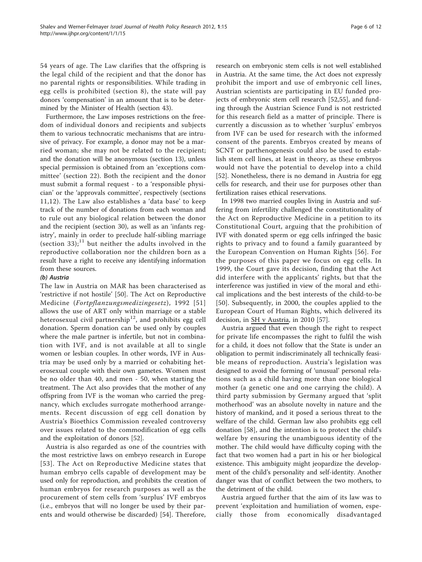54 years of age. The Law clarifies that the offspring is the legal child of the recipient and that the donor has no parental rights or responsibilities. While trading in egg cells is prohibited (section 8), the state will pay donors 'compensation' in an amount that is to be determined by the Minister of Health (section 43).

Furthermore, the Law imposes restrictions on the freedom of individual donors and recipients and subjects them to various technocratic mechanisms that are intrusive of privacy. For example, a donor may not be a married woman; she may not be related to the recipient; and the donation will be anonymous (section 13), unless special permission is obtained from an 'exceptions committee' (section 22). Both the recipient and the donor must submit a formal request - to a 'responsible physician' or the 'approvals committee', respectively (sections 11,12). The Law also establishes a 'data base' to keep track of the number of donations from each woman and to rule out any biological relation between the donor and the recipient (section 30), as well as an 'infants registry', mainly in order to preclude half-sibling marriage (section 33); $^{11}$  but neither the adults involved in the reproductive collaboration nor the children born as a result have a right to receive any identifying information from these sources.

#### (b) Austria

The law in Austria on MAR has been characterised as 'restrictive if not hostile' [\[50](#page-10-0)]. The Act on Reproductive Medicine (Fortpflanzungsmedizingesetz), 1992 [[51](#page-10-0)] allows the use of ART only within marriage or a stable heterosexual civil partnership<sup>12</sup>, and prohibits egg cell donation. Sperm donation can be used only by couples where the male partner is infertile, but not in combination with IVF, and is not available at all to single women or lesbian couples. In other words, IVF in Austria may be used only by a married or cohabiting heterosexual couple with their own gametes. Women must be no older than 40, and men - 50, when starting the treatment. The Act also provides that the mother of any offspring from IVF is the woman who carried the pregnancy, which excludes surrogate motherhood arrangements. Recent discussion of egg cell donation by Austria's Bioethics Commission revealed controversy over issues related to the commodification of egg cells and the exploitation of donors [\[52\]](#page-10-0).

Austria is also regarded as one of the countries with the most restrictive laws on embryo research in Europe [[53\]](#page-10-0). The Act on Reproductive Medicine states that human embryo cells capable of development may be used only for reproduction, and prohibits the creation of human embryos for research purposes as well as the procurement of stem cells from 'surplus' IVF embryos (i.e., embryos that will no longer be used by their parents and would otherwise be discarded) [[54\]](#page-10-0). Therefore, research on embryonic stem cells is not well established in Austria. At the same time, the Act does not expressly prohibit the import and use of embryonic cell lines, Austrian scientists are participating in EU funded projects of embryonic stem cell research [[52,55\]](#page-10-0), and funding through the Austrian Science Fund is not restricted for this research field as a matter of principle. There is currently a discussion as to whether 'surplus' embryos from IVF can be used for research with the informed consent of the parents. Embryos created by means of SCNT or parthenogenesis could also be used to establish stem cell lines, at least in theory, as these embryos would not have the potential to develop into a child [[52\]](#page-10-0). Nonetheless, there is no demand in Austria for egg cells for research, and their use for purposes other than fertilization raises ethical reservations.

In 1998 two married couples living in Austria and suffering from infertility challenged the constitutionality of the Act on Reproductive Medicine in a petition to its Constitutional Court, arguing that the prohibition of IVF with donated sperm or egg cells infringed the basic rights to privacy and to found a family guaranteed by the European Convention on Human Rights [[56\]](#page-10-0). For the purposes of this paper we focus on egg cells. In 1999, the Court gave its decision, finding that the Act did interfere with the applicants' rights, but that the interference was justified in view of the moral and ethical implications and the best interests of the child-to-be [[50](#page-10-0)]. Subsequently, in 2000, the couples applied to the European Court of Human Rights, which delivered its decision, in SH v Austria, in 2010 [\[57](#page-10-0)].

Austria argued that even though the right to respect for private life encompasses the right to fulfil the wish for a child, it does not follow that the State is under an obligation to permit indiscriminately all technically feasible means of reproduction. Austria's legislation was designed to avoid the forming of 'unusual' personal relations such as a child having more than one biological mother (a genetic one and one carrying the child). A third party submission by Germany argued that 'split motherhood' was an absolute novelty in nature and the history of mankind, and it posed a serious threat to the welfare of the child. German law also prohibits egg cell donation [[58\]](#page-10-0), and the intention is to protect the child's welfare by ensuring the unambiguous identity of the mother. The child would have difficulty coping with the fact that two women had a part in his or her biological existence. This ambiguity might jeopardize the development of the child's personality and self-identity. Another danger was that of conflict between the two mothers, to the detriment of the child.

Austria argued further that the aim of its law was to prevent 'exploitation and humiliation of women, especially those from economically disadvantaged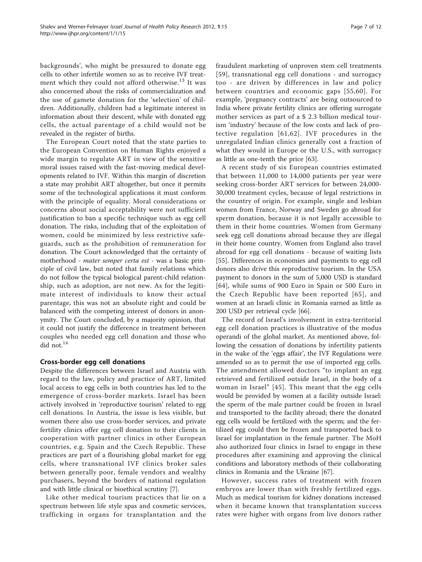backgrounds', who might be pressured to donate egg cells to other infertile women so as to receive IVF treatment which they could not afford otherwise.<sup>13</sup> It was also concerned about the risks of commercialization and the use of gamete donation for the 'selection' of children. Additionally, children had a legitimate interest in information about their descent, while with donated egg cells, the actual parentage of a child would not be revealed in the register of births.

The European Court noted that the state parties to the European Convention on Human Rights enjoyed a wide margin to regulate ART in view of the sensitive moral issues raised with the fast-moving medical developments related to IVF. Within this margin of discretion a state may prohibit ART altogether, but once it permits some of the technological applications it must conform with the principle of equality. Moral considerations or concerns about social acceptability were not sufficient justification to ban a specific technique such as egg cell donation. The risks, including that of the exploitation of women, could be minimized by less restrictive safeguards, such as the prohibition of remuneration for donation. The Court acknowledged that the certainty of motherhood - mater semper certa est - was a basic principle of civil law, but noted that family relations which do not follow the typical biological parent-child relationship, such as adoption, are not new. As for the legitimate interest of individuals to know their actual parentage, this was not an absolute right and could be balanced with the competing interest of donors in anonymity. The Court concluded, by a majority opinion, that it could not justify the difference in treatment between couples who needed egg cell donation and those who did not. $^{14}$ 

## Cross-border egg cell donations

Despite the differences between Israel and Austria with regard to the law, policy and practice of ART, limited local access to egg cells in both countries has led to the emergence of cross-border markets. Israel has been actively involved in 'reproductive tourism' related to egg cell donations. In Austria, the issue is less visible, but women there also use cross-border services, and private fertility clinics offer egg cell donation to their clients in cooperation with partner clinics in other European countries, e.g. Spain and the Czech Republic. These practices are part of a flourishing global market for egg cells, where transnational IVF clinics broker sales between generally poor, female vendors and wealthy purchasers, beyond the borders of national regulation and with little clinical or bioethical scrutiny [[7\]](#page-9-0).

Like other medical tourism practices that lie on a spectrum between life style spas and cosmetic services, trafficking in organs for transplantation and the fraudulent marketing of unproven stem cell treatments [[59](#page-10-0)], transnational egg cell donations - and surrogacy too - are driven by differences in law and policy between countries and economic gaps [[55,60](#page-10-0)]. For example, 'pregnancy contracts' are being outsourced to India where private fertility clinics are offering surrogate mother services as part of a \$ 2.3 billion medical tourism 'industry' because of the low costs and lack of protective regulation [[61,62\]](#page-10-0). IVF procedures in the unregulated Indian clinics generally cost a fraction of what they would in Europe or the U.S., with surrogacy as little as one-tenth the price [[63](#page-10-0)].

A recent study of six European countries estimated that between 11,000 to 14,000 patients per year were seeking cross-border ART services for between 24,000- 30,000 treatment cycles, because of legal restrictions in the country of origin. For example, single and lesbian women from France, Norway and Sweden go abroad for sperm donation, because it is not legally accessible to them in their home countries. Women from Germany seek egg cell donations abroad because they are illegal in their home country. Women from England also travel abroad for egg cell donations - because of waiting lists [[55\]](#page-10-0). Differences in economies and payments to egg cell donors also drive this reproductive tourism. In the USA payment to donors in the sum of 5,000 USD is standard [[64](#page-10-0)], while sums of 900 Euro in Spain or 500 Euro in the Czech Republic have been reported [\[65](#page-10-0)], and women at an Israeli clinic in Romania earned as little as 200 USD per retrieval cycle [\[66](#page-10-0)].

The record of Israel's involvement in extra-territorial egg cell donation practices is illustrative of the modus operandi of the global market. As mentioned above, following the cessation of donations by infertility patients in the wake of the 'eggs affair', the IVF Regulations were amended so as to permit the use of imported egg cells. The amendment allowed doctors "to implant an egg retrieved and fertilized outside Israel, in the body of a woman in Israel" [[45](#page-10-0)]. This meant that the egg cells would be provided by women at a facility outside Israel: the sperm of the male partner could be frozen in Israel and transported to the facility abroad; there the donated egg cells would be fertilized with the sperm; and the fertilized egg could then be frozen and transported back to Israel for implantation in the female partner. The MoH also authorized four clinics in Israel to engage in these procedures after examining and approving the clinical conditions and laboratory methods of their collaborating clinics in Romania and the Ukraine [[67\]](#page-10-0).

However, success rates of treatment with frozen embryos are lower than with freshly fertilized eggs. Much as medical tourism for kidney donations increased when it became known that transplantation success rates were higher with organs from live donors rather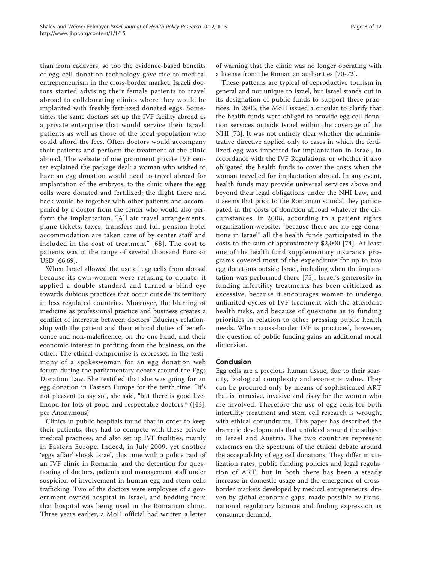than from cadavers, so too the evidence-based benefits of egg cell donation technology gave rise to medical entrepreneurism in the cross-border market. Israeli doc-

tors started advising their female patients to travel abroad to collaborating clinics where they would be implanted with freshly fertilized donated eggs. Sometimes the same doctors set up the IVF facility abroad as a private enterprise that would service their Israeli patients as well as those of the local population who could afford the fees. Often doctors would accompany their patients and perform the treatment at the clinic abroad. The website of one prominent private IVF center explained the package deal: a woman who wished to have an egg donation would need to travel abroad for implantation of the embryos, to the clinic where the egg cells were donated and fertilized; the flight there and back would be together with other patients and accompanied by a doctor from the center who would also perform the implantation. "All air travel arrangements, plane tickets, taxes, transfers and full pension hotel accommodation are taken care of by center staff and included in the cost of treatment" [[68\]](#page-10-0). The cost to patients was in the range of several thousand Euro or USD [\[66,69\]](#page-10-0).

When Israel allowed the use of egg cells from abroad because its own women were refusing to donate, it applied a double standard and turned a blind eye towards dubious practices that occur outside its territory in less regulated countries. Moreover, the blurring of medicine as professional practice and business creates a conflict of interests: between doctors' fiduciary relationship with the patient and their ethical duties of beneficence and non-maleficence, on the one hand, and their economic interest in profiting from the business, on the other. The ethical compromise is expressed in the testimony of a spokeswoman for an egg donation web forum during the parliamentary debate around the Eggs Donation Law. She testified that she was going for an egg donation in Eastern Europe for the tenth time. "It's not pleasant to say so", she said, "but there is good livelihood for lots of good and respectable doctors." ([[43](#page-10-0)], per Anonymous)

Clinics in public hospitals found that in order to keep their patients, they had to compete with these private medical practices, and also set up IVF facilities, mainly in Eastern Europe. Indeed, in July 2009, yet another 'eggs affair' shook Israel, this time with a police raid of an IVF clinic in Romania, and the detention for questioning of doctors, patients and management staff under suspicion of involvement in human egg and stem cells trafficking. Two of the doctors were employees of a government-owned hospital in Israel, and bedding from that hospital was being used in the Romanian clinic. Three years earlier, a MoH official had written a letter of warning that the clinic was no longer operating with a license from the Romanian authorities [\[70-72](#page-10-0)].

These patterns are typical of reproductive tourism in general and not unique to Israel, but Israel stands out in its designation of public funds to support these practices. In 2005, the MoH issued a circular to clarify that the health funds were obliged to provide egg cell donation services outside Israel within the coverage of the NHI [[73](#page-10-0)]. It was not entirely clear whether the administrative directive applied only to cases in which the fertilized egg was imported for implantation in Israel, in accordance with the IVF Regulations, or whether it also obligated the health funds to cover the costs when the woman travelled for implantation abroad. In any event, health funds may provide universal services above and beyond their legal obligations under the NHI Law, and it seems that prior to the Romanian scandal they participated in the costs of donation abroad whatever the circumstances. In 2008, according to a patient rights organization website, "because there are no egg donations in Israel" all the health funds participated in the costs to the sum of approximately \$2,000 [[74](#page-10-0)]. At least one of the health fund supplementary insurance programs covered most of the expenditure for up to two egg donations outside Israel, including when the implantation was performed there [[75](#page-10-0)]. Israel's generosity in funding infertility treatments has been criticized as excessive, because it encourages women to undergo unlimited cycles of IVF treatment with the attendant health risks, and because of questions as to funding priorities in relation to other pressing public health needs. When cross-border IVF is practiced, however, the question of public funding gains an additional moral dimension.

#### Conclusion

Egg cells are a precious human tissue, due to their scarcity, biological complexity and economic value. They can be procured only by means of sophisticated ART that is intrusive, invasive and risky for the women who are involved. Therefore the use of egg cells for both infertility treatment and stem cell research is wrought with ethical conundrums. This paper has described the dramatic developments that unfolded around the subject in Israel and Austria. The two countries represent extremes on the spectrum of the ethical debate around the acceptability of egg cell donations. They differ in utilization rates, public funding policies and legal regulation of ART, but in both there has been a steady increase in domestic usage and the emergence of crossborder markets developed by medical entrepreneurs, driven by global economic gaps, made possible by transnational regulatory lacunae and finding expression as consumer demand.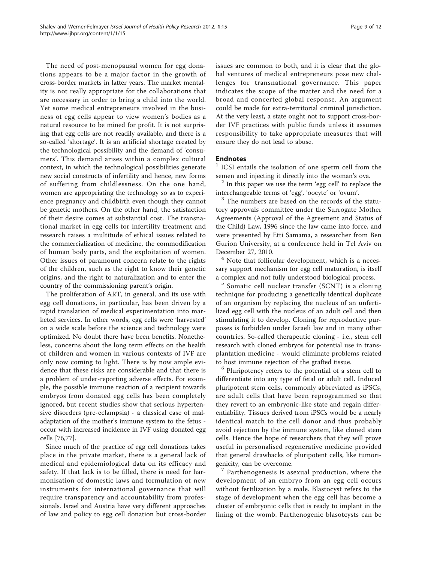The need of post-menopausal women for egg donations appears to be a major factor in the growth of cross-border markets in latter years. The market mentality is not really appropriate for the collaborations that are necessary in order to bring a child into the world. Yet some medical entrepreneurs involved in the business of egg cells appear to view women's bodies as a natural resource to be mined for profit. It is not surprising that egg cells are not readily available, and there is a so-called 'shortage'. It is an artificial shortage created by the technological possibility and the demand of 'consumers'. This demand arises within a complex cultural context, in which the technological possibilities generate new social constructs of infertility and hence, new forms of suffering from childlessness. On the one hand, women are appropriating the technology so as to experience pregnancy and childbirth even though they cannot be genetic mothers. On the other hand, the satisfaction of their desire comes at substantial cost. The transnational market in egg cells for infertility treatment and research raises a multitude of ethical issues related to the commercialization of medicine, the commodification of human body parts, and the exploitation of women. Other issues of paramount concern relate to the rights of the children, such as the right to know their genetic origins, and the right to naturalization and to enter the country of the commissioning parent's origin.

The proliferation of ART, in general, and its use with egg cell donations, in particular, has been driven by a rapid translation of medical experimentation into marketed services. In other words, egg cells were 'harvested' on a wide scale before the science and technology were optimized. No doubt there have been benefits. Nonetheless, concerns about the long term effects on the health of children and women in various contexts of IVF are only now coming to light. There is by now ample evidence that these risks are considerable and that there is a problem of under-reporting adverse effects. For example, the possible immune reaction of a recipient towards embryos from donated egg cells has been completely ignored, but recent studies show that serious hypertensive disorders (pre-eclampsia) - a classical case of maladaptation of the mother's immune system to the fetus occur with increased incidence in IVF using donated egg cells [[76](#page-10-0),[77](#page-11-0)].

Since much of the practice of egg cell donations takes place in the private market, there is a general lack of medical and epidemiological data on its efficacy and safety. If that lack is to be filled, there is need for harmonisation of domestic laws and formulation of new instruments for international governance that will require transparency and accountability from professionals. Israel and Austria have very different approaches of law and policy to egg cell donation but cross-border issues are common to both, and it is clear that the global ventures of medical entrepreneurs pose new challenges for transnational governance. This paper indicates the scope of the matter and the need for a broad and concerted global response. An argument could be made for extra-territorial criminal jurisdiction. At the very least, a state ought not to support cross-border IVF practices with public funds unless it assumes responsibility to take appropriate measures that will ensure they do not lead to abuse.

#### Endnotes

<sup>1</sup> ICSI entails the isolation of one sperm cell from the semen and injecting it directly into the woman's ova.<br><sup>2</sup> In this paper we use the term 'egg cell' to replace the

interchangeable terms of 'egg', 'oocyte' or 'ovum'. <sup>3</sup> The numbers are based on the records of the statu-

tory approvals committee under the Surrogate Mother Agreements (Approval of the Agreement and Status of the Child) Law, 1996 since the law came into force, and were presented by Etti Samama, a researcher from Ben Gurion University, at a conference held in Tel Aviv on December 27, 2010.<br><sup>4</sup> Note that follicular development, which is a neces-

sary support mechanism for egg cell maturation, is itself

a complex and not fully understood biological process. <sup>5</sup> Somatic cell nuclear transfer (SCNT) is a cloning technique for producing a genetically identical duplicate of an organism by replacing the nucleus of an unfertilized egg cell with the nucleus of an adult cell and then stimulating it to develop. Cloning for reproductive purposes is forbidden under Israeli law and in many other countries. So-called therapeutic cloning - i.e., stem cell research with cloned embryos for potential use in transplantation medicine - would eliminate problems related to host immune rejection of the grafted tissue.<br><sup>6</sup> Pluripotency refers to the potential of a stem cell to

differentiate into any type of fetal or adult cell. Induced pluripotent stem cells, commonly abbreviated as iPSCs, are adult cells that have been reprogrammed so that they revert to an embryonic-like state and regain differentiability. Tissues derived from iPSCs would be a nearly identical match to the cell donor and thus probably avoid rejection by the immune system, like cloned stem cells. Hence the hope of researchers that they will prove useful in personalised regenerative medicine provided that general drawbacks of pluripotent cells, like tumori-

genicity, can be overcome.<br> $\frac{7}{7}$  Parthenogenesis is asexual production, where the development of an embryo from an egg cell occurs without fertilization by a male. Blastocyst refers to the stage of development when the egg cell has become a cluster of embryonic cells that is ready to implant in the lining of the womb. Parthenogenic blasotcysts can be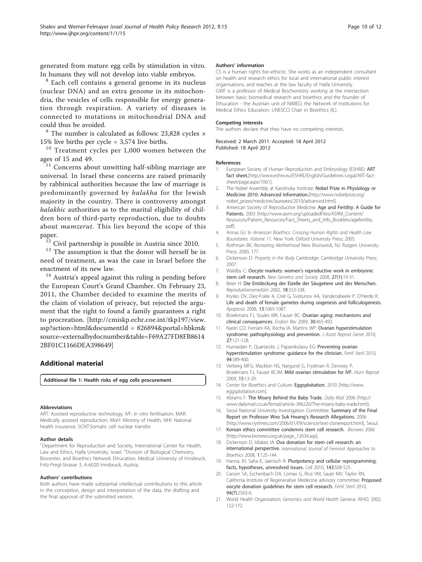<span id="page-9-0"></span>generated from mature egg cells by stimulation in vitro. In humans they will not develop into viable embryos. <sup>8</sup> Each cell contains a general genome in its nucleus

(nuclear DNA) and an extra genome in its mitochondria, the vesicles of cells responsible for energy generation through respiration. A variety of diseases is connected to mutations in mitochondrial DNA and could thus be avoided.<br><sup>9</sup> The number is calculated as follows: 23,828 cycles  $\times$ 

15% live births per cycle = 3,574 live births.<br><sup>10</sup> Treatment cycles per 1,000 women between the ages of 15 and 49.<br> $\frac{11}{11}$  Concerns about unwitting half-sibling marriage are

universal. In Israel these concerns are raised primarily by rabbinical authorities because the law of marriage is predominantly governed by halakha for the Jewish majority in the country. There is controversy amongst halakhic authorities as to the marital eligibility of children born of third-party reproduction, due to doubts about mamzerut. This lies beyond the scope of this

paper.  $12$  Civil partnership is possible in Austria since 2010.<br> $13$  The assumption is that the donor will herself be in need of treatment, as was the case in Israel before the enactment of its new law.  $14$  Austria's appeal against this ruling is pending before

the European Court's Grand Chamber. On February 23, 2011, the Chamber decided to examine the merits of the claim of violation of privacy, but rejected the argument that the right to found a family guarantees a right to procreation. [[http://cmiskp.echr.coe.int/tkp197/view.](http://cmiskp.echr.coe.int/tkp197/view.asp?action=html&documentId = 826894&portal=hbkm&source=externalbydocnumber&table=F69A27FD8FB86142BF01C1166DEA398649) [asp?action=html&documentId = 826894&portal=hbkm&](http://cmiskp.echr.coe.int/tkp197/view.asp?action=html&documentId = 826894&portal=hbkm&source=externalbydocnumber&table=F69A27FD8FB86142BF01C1166DEA398649) [source=externalbydocnumber&table=F69A27FD8FB8614](http://cmiskp.echr.coe.int/tkp197/view.asp?action=html&documentId = 826894&portal=hbkm&source=externalbydocnumber&table=F69A27FD8FB86142BF01C1166DEA398649) [2BF01C1166DEA398649](http://cmiskp.echr.coe.int/tkp197/view.asp?action=html&documentId = 826894&portal=hbkm&source=externalbydocnumber&table=F69A27FD8FB86142BF01C1166DEA398649)]

## Additional material

[Additional file 1: H](http://www.biomedcentral.com/content/supplementary/2045-4015-1-15-S1.DOC)ealth risks of egg cells procurement.

#### Abbreviations

ART: Assisted reproductive technology; IVF: In vitro fertilisation; MAR: Medically assisted reproduction; MoH: Ministry of Health; NHI: National health insurance; SCNT:Somatic cell nuclear transfer.

#### Author details

<sup>1</sup>Department for Reproduction and Society, International Center for Health, Law and Ethics, Haifa University, Israel. <sup>2</sup> Division of Biological Chemistry, Biocenter, and Bioethics Network Ethucation, Medical University of Innsbruck, Fritz-Pregl-Strasse 3, A-6020 Innsbruck, Austria.

#### Authors' contributions

Both authors have made substantial intellectual contributions to this article in the conception, design and interpretation of the data, the drafting and the final approval of the submitted version.

#### Authors' information

CS is a human rights bio-ethicist. She works as an independent consultant on health and research ethics for local and international public interest organisations, and teaches at the law faculty of Haifa University. GWF is a professor of Medical Biochemistry working at the intersection between basic biomedical research and bioethics and the founder of Ethucation - the Austrian unit of NIMED, the Network of Institutions for Medical Ethics Education, UNESCO Chair in Bioethics (IL).

#### Competing interests

The authors declare that they have no competing interests.

Received: 2 March 2011 Accepted: 18 April 2012 Published: 18 April 2012

#### References

- 1. European Society of Human Reproduction and Embryology (ESHRE): ART fact sheet.[\[http://www.eshre.eu/ESHRE/English/Guidelines-Legal/ART-fact](http://www.eshre.eu/ESHRE/English/Guidelines-Legal/ART-fact-sheet/page.aspx/1061)[sheet/page.aspx/1061\]](http://www.eshre.eu/ESHRE/English/Guidelines-Legal/ART-fact-sheet/page.aspx/1061).
- 2. The Nobel Assembly at Karolinska Institute: Nobel Prize in Physiology or Medicine 2010: Advanced Information.[\[http://www.nobelprize.org/](http://www.nobelprize.org/nobel_prizes/medicine/laureates/2010/advanced.html) [nobel\\_prizes/medicine/laureates/2010/advanced.html](http://www.nobelprize.org/nobel_prizes/medicine/laureates/2010/advanced.html)].
- 3. American Society of Reproductive Medicine: Age and Fertility: A Guide for Patients. 2003 [[http://www.asrm.org/uploadedFiles/ASRM\\_Content/](http://www.asrm.org/uploadedFiles/ASRM_Content/Resources/Patient_Resources/Fact_Sheets_and_Info_Booklets/agefertility.pdf) [Resources/Patient\\_Resources/Fact\\_Sheets\\_and\\_Info\\_Booklets/agefertility.](http://www.asrm.org/uploadedFiles/ASRM_Content/Resources/Patient_Resources/Fact_Sheets_and_Info_Booklets/agefertility.pdf) [pdf](http://www.asrm.org/uploadedFiles/ASRM_Content/Resources/Patient_Resources/Fact_Sheets_and_Info_Booklets/agefertility.pdf)].
- 4. Annas GJ: In American Bioethics: Crossing Human Rights and Health Law Boundaries. Volume 11. New York: Oxford University Press; 2005.
- 5. Rothman BK: Recreating Motherhood New Brunswick, NJ: Rutgers University Press; 2000, 177.
- 6. Dickenson D: Property in the Body Cambridge: Cambridge University Press; 2007.
- 7. Waldby C: Oocyte markets: women's reproductive work in embryonic stem cell research. New Genetics and Society 2008, 27(1):19-31.
- 8. Beier H: Die Entdeckung der Eizelle der Säugetiere und des Menschen. Reproduktionsmedizin 2002, 18:333-338.
- 9. Krysko DV, Diez-Fraile A, Criel G, Svistunov AA, Vandenabeele P, D'Herde K: [Life and death of female gametes during oogenesis and folliculogenesis.](http://www.ncbi.nlm.nih.gov/pubmed/18622770?dopt=Abstract) Apoptosis 2008, 13:1065-1087.
- 10. Broekmans FJ, Soules MR, Fauser BC: [Ovarian aging: mechanisms and](http://www.ncbi.nlm.nih.gov/pubmed/19589949?dopt=Abstract) [clinical consequences.](http://www.ncbi.nlm.nih.gov/pubmed/19589949?dopt=Abstract) Endocr Rev 2009, 30:465-493.
- 11. Nastri CO, Ferriani RA, Rocha IA, Martins WP: [Ovarian hyperstimulation](http://www.ncbi.nlm.nih.gov/pubmed/20140640?dopt=Abstract) [syndrome: pathophysiology and prevention.](http://www.ncbi.nlm.nih.gov/pubmed/20140640?dopt=Abstract) J Assist Reprod Genet 2010, 27:121-128.
- 12. Humaidan P, Quartarolo J, Papanikolaou EG: [Preventing ovarian](http://www.ncbi.nlm.nih.gov/pubmed/20416867?dopt=Abstract) [hyperstimulation syndrome: guidance for the clinician.](http://www.ncbi.nlm.nih.gov/pubmed/20416867?dopt=Abstract) Fertil Steril 2010, 94:389-400.
- 13. Verberg MFG, Macklon NS, Nargund G, Frydman R, Devroey P, Broekmans FJ, Fauser BCJM: Mild ovarian stimulation for IVF. Hum Reprod 2009, 15:13-29.
- 14. Center for Bioethics and Culture: Eggsploitation. 2010 [[http://www.](http://www.eggsploitation.com) [eggsploitation.com](http://www.eggsploitation.com)].
- 15. Abrams F: The Misery Behind the Baby Trade. Daily Mail 2006 [[http://](http://www.dailymail.co.uk/femail/article-396220/The-misery-baby-trade.html) [www.dailymail.co.uk/femail/article-396220/The-misery-baby-trade.html\]](http://www.dailymail.co.uk/femail/article-396220/The-misery-baby-trade.html).
- 16. Seoul National University Investigation Committee: Summary of the Final Report on Professor Woo Suk Hwang's Research Allegations. 2006 [<http://www.nytimes.com/2006/01/09/science/text-clonereport.html>], Seoul.
- 17. Korean ethics committee condemns stem cell research. Bionews 2006 [[http://www.bionews.org.uk/page\\_12634.asp\]](http://www.bionews.org.uk/page_12634.asp).
- 18. Dickenson D, Idiakez IA: Ova donation for stem cell research: an international perspective. International Journal of Feminist Approaches to Bioethics 2008, 1:125-144.
- 19. Hanna JH, Saha K, Jaenisch R: [Pluripotency and cellular reprogramming:](http://www.ncbi.nlm.nih.gov/pubmed/21074044?dopt=Abstract) [facts, hypotheses, unresolved issues.](http://www.ncbi.nlm.nih.gov/pubmed/21074044?dopt=Abstract) Cell 2010, 143:508-525.
- 20. Carson SA, Eschenbach DA, Lomax G, Rice VM, Sauer MV, Taylor RN, California Institute of Regenerative Medecine advisory committee: [Proposed](http://www.ncbi.nlm.nih.gov/pubmed/20189168?dopt=Abstract) [oocyte donation guidelines for stem cell research.](http://www.ncbi.nlm.nih.gov/pubmed/20189168?dopt=Abstract) Fertil Steril 2010, 94(7):2503-6.
- 21. World Health Organization: Genomics and World Health Geneva: WHO; 2002, 122-172.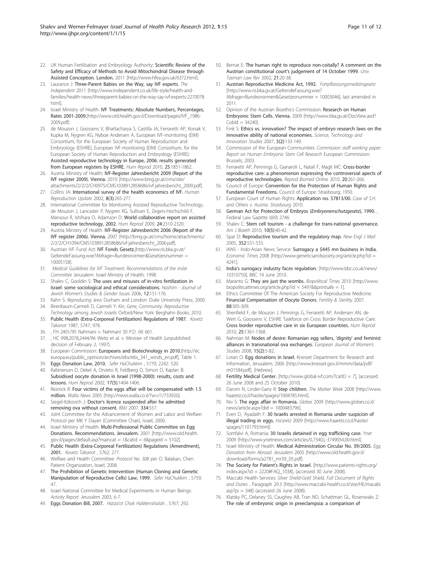- <span id="page-10-0"></span>22. UK Human Fertilisation and Embryology Authority: Scientific Review of the Safety and Efficacy of Methods to Avoid Mitochondrial Disease through Assisted Conception. London. 2011 [<http://www.hfea.gov.uk/6372.html>].
- 23. Laurance J: Three-Parent Babies on the Way, say IVF experts. The Independent 2011 [[http://www.independent.co.uk/life-style/health-and](http://www.independent.co.uk/life-style/health-and-families/health-news/threeparent-babies-on-the-way-say-ivf-experts-2270078.html)[families/health-news/threeparent-babies-on-the-way-say-ivf-experts-2270078.](http://www.independent.co.uk/life-style/health-and-families/health-news/threeparent-babies-on-the-way-say-ivf-experts-2270078.html) [html\]](http://www.independent.co.uk/life-style/health-and-families/health-news/threeparent-babies-on-the-way-say-ivf-experts-2270078.html).
- 24. Israel Ministry of Health: IVF Treatments: Absolute Numbers, Percentages, Rates 2001-2009.[\[http://www.old.health.gov.il/Download/pages/IVF\\_1986-](http://www.old.health.gov.il/Download/pages/IVF_1986-2009.pdf) [2009.pdf\]](http://www.old.health.gov.il/Download/pages/IVF_1986-2009.pdf).
- 25. de Mouzon J, Goossens V, Bhattacharya S, Castilla JA, Ferraretti AP, Korsak V, Kupka M, Nygren KG, Nyboe Andersen A, European IVF-monitoring (EIM) Consortium, for the European Society of Human Reproduction and Embryology (ESHRE), European IVF-monitoring (EIM) Consortium, for the European Society of Human Reproduction and Embryology (ESHRE): [Assisted reproductive technology in Europe, 2006: results generated](http://www.ncbi.nlm.nih.gov/pubmed/20570973?dopt=Abstract) [from European registers by ESHRE.](http://www.ncbi.nlm.nih.gov/pubmed/20570973?dopt=Abstract) Hum Reprod 2010, 25:1851-1862.
- 26. Austria Ministry of Health: IVF-Register Jahresbericht 2009 (Report of the IVF register 2009). Vienna. 2010 [[http://www.bmg.gv.at/cms/site/](http://www.bmg.gv.at/cms/site/attachments/2/2/2/CH0975/CMS1038912858686/ivf-jahresbericht_2009.pdf) [attachments/2/2/2/CH0975/CMS1038912858686/ivf-jahresbericht\\_2009.pdf](http://www.bmg.gv.at/cms/site/attachments/2/2/2/CH0975/CMS1038912858686/ivf-jahresbericht_2009.pdf)].
- 27. Collins JA: [International survey of the health economics of IVF.](http://www.ncbi.nlm.nih.gov/pubmed/12078837?dopt=Abstract) Human Reproduction Update 2002, 8(3):265-277.
- 28. International Committee for Monitoring Assisted Reproductive Technology, de Mouzon J, Lancaster P, Nygren KG, Sullivan E, Zegers-Hochschild F, Mansour R, Ishihara O, Adamson D: [World collaborative report on assisted](http://www.ncbi.nlm.nih.gov/pubmed/19474459?dopt=Abstract) [reproductive technology, 2002.](http://www.ncbi.nlm.nih.gov/pubmed/19474459?dopt=Abstract) Hum Reprod 2009, 24:2310-2320.
- 29. Austria Ministry of Health: IVF-Register Jahresbericht 2006 (Report of the IVF register 2006). Vienna. 2007 [[http://bmg.gv.at/cms/home/attachments/](http://bmg.gv.at/cms/home/attachments/2/2/2/CH1094/CMS1038912858686/ivf-jahresbericht_2006.pdf) [2/2/2/CH1094/CMS1038912858686/ivf-jahresbericht\\_2006.pdf\]](http://bmg.gv.at/cms/home/attachments/2/2/2/CH1094/CMS1038912858686/ivf-jahresbericht_2006.pdf).
- 30. Austrian IVF Fund Act: IVF Fonds Gesetz.[\[http://www.ris.bka.gv.at/](http://www.ris.bka.gv.at/GeltendeFassung.wxe?Abfrage=Bundesnormen&Gesetzesnummer = 10005158) [GeltendeFassung.wxe?Abfrage=Bundesnormen&Gesetzesnummer =](http://www.ris.bka.gv.at/GeltendeFassung.wxe?Abfrage=Bundesnormen&Gesetzesnummer = 10005158) [10005158\]](http://www.ris.bka.gv.at/GeltendeFassung.wxe?Abfrage=Bundesnormen&Gesetzesnummer = 10005158).
- 31. Medical Guidelines for IVF Treatment: Recommendations of the Insler Committee Jerusalem: Israel Ministry of Health; 1998.
- 32. Shalev C, Gooldin S: [The uses and misuses of in-vitro fertilization in](http://www.ncbi.nlm.nih.gov/pubmed/17153728?dopt=Abstract) [Israel: some sociological and ethical considerations.](http://www.ncbi.nlm.nih.gov/pubmed/17153728?dopt=Abstract) Nashim - Journal of Jewish Women's Studies & Gender Issues 2006, 12:151-176.
- 33. Kahn S: Reproducing Jews Durham and London: Duke University Press; 2000. 34. Birenbaum-Carmeli D, Carmeli Y: Kin, Gene, Community: Reproductive
- Technology among Jewish Israelis Oxford/New York: Berghahn Books; 2010. 35. Public Health (Extra-Corporeal Fertilization) Regulations of 1987. Kovetz Takanot 1987, 5747; 978.
- 36. , FH 2401/95 Nahmani v. Nahmani 50 P.D. (4) 661.
- 37. , HC 998,2078,2444/96 Weitz et al. v. Minister of Health (unpublished decision of February 2, 1997).
- 38. European Commission: Europeans and Biotechnology in 2010.[\[http://ec.](http://ec.europa.eu/public_opinion/archives/ebs/ebs_341_winds_en.pdf) [europa.eu/public\\_opinion/archives/ebs/ebs\\_341\\_winds\\_en.pdf](http://ec.europa.eu/public_opinion/archives/ebs/ebs_341_winds_en.pdf)], Table 1.
- 39. Eggs Donation Law, 2010. Sefer HaChukkim , 5770; 2242: 520.
- 40. Rabinerson D, Dekel A, Orvieto R, Feldberg D, Simon D, Kaplan B: [Subsidised oocyte donation in Israel \(1998-2000\): results, costs and](http://www.ncbi.nlm.nih.gov/pubmed/11980772?dopt=Abstract) [lessons.](http://www.ncbi.nlm.nih.gov/pubmed/11980772?dopt=Abstract) Hum Reprod 2002, 17(5):1404-1406.
- 41. Reznick R: Four victims of the eggs affair will be compensated with 1.5 million. Walla News 2005 [\[http://news.walla.co.il/?w=/1/733920\]](http://news.walla.co.il/?w=/1/733920).
- 42. Siegel-Itzkovich J: Doctor'[s licence suspended after he admitted](http://www.ncbi.nlm.nih.gov/pubmed/17363811?dopt=Abstract) [removing ova without consent.](http://www.ncbi.nlm.nih.gov/pubmed/17363811?dopt=Abstract) BMJ 2007, 334:557.
- 43. Joint Committee for the Advancement of Women and Labor and Welfare: Protocol per MK Y Dayan (Committee Chair), Israel; 2000.
- 44. Israel Ministry of Health: Multi-Professional Public Committee on Egg Donations. Recommendations. Jerusalem. 2001 [\[http://www.old.health.](http://www.old.health.gov.il/pages/default.asp?maincat = 1&catid = 6&pageid = 5102) [gov.il/pages/default.asp?maincat = 1&catid = 6&pageid = 5102](http://www.old.health.gov.il/pages/default.asp?maincat = 1&catid = 6&pageid = 5102)].
- 45. Public Health (Extra-Corporeal Fertilization) Regulations (Amendment), 2001. Kovetz Takanot , 5762; 277.
- Welfare and Health Committee: Protocol No. 308 per O. Balaban, Chen Patient Organization, Israel; 2008.
- 47. The Prohibition of Genetic Intervention (Human Cloning and Genetic Manipulation of Reproductive Cells) Law, 1999. Sefer HaChukkim , 5759; 47.
- Israel National Committee for Medical Experiments in Human Beings: Activity Report. Jerusalem 2003, 6-7.
- 49. Eggs Donation Bill, 2007. Hatza'ot Chok HaMemshalah , 5767; 292.
- 50. Bernat E: [The human right to reproduce non-coitally? A comment on the](http://www.ncbi.nlm.nih.gov/pubmed/15214357?dopt=Abstract) Austrian constitutional court'[s judgement of 14 October 1999.](http://www.ncbi.nlm.nih.gov/pubmed/15214357?dopt=Abstract) Univ Tasman Law Rev 2002, 21:20-38.
- 51. Austrian Reproductive Medicine Act, 1992. Fortpflanzungsmedizingesetz [[http://www.ris.bka.gv.at/GeltendeFassung.wxe?](http://www.ris.bka.gv.at/GeltendeFassung.wxe?Abfrage=Bundesnormen&Gesetzesnummer = 10003046) [Abfrage=Bundesnormen&Gesetzesnummer = 10003046\]](http://www.ris.bka.gv.at/GeltendeFassung.wxe?Abfrage=Bundesnormen&Gesetzesnummer = 10003046), last amended in 2011.
- 52. Opinion of the Austrian Bioethics Commission: Research on Human Embryonic Stem Cells. Vienna. 2009 [[http://www.bka.gv.at/DocView.axd?](http://www.bka.gv.at/DocView.axd?CobId = 34240)  $Cohid = 342401$
- 53. Fink S: Ethics vs. innovation? The impact of embryo research laws on the innovative ability of national economies. Science, Technology and Innovation Studies 2007, 3(2):133-149.
- Commission of the European Communities: Commission staff working paper: Report on Human Embryonic Stem Cell Research European Commission: Brussels; 2003.
- 55. Ferraretti AP, Pennings G, Gianaroli L, Natali F, Magli MC: [Cross-border](http://www.ncbi.nlm.nih.gov/pubmed/20113964?dopt=Abstract) [reproductive care: a phenomenon expressing the controversial apects of](http://www.ncbi.nlm.nih.gov/pubmed/20113964?dopt=Abstract) [reproductive technologies.](http://www.ncbi.nlm.nih.gov/pubmed/20113964?dopt=Abstract) Reprod Biomed Online 2010, 20:261-266.
- 56. Council of Europe: Convention for the Protection of Human Rights and Fundamental Freedoms. Council of Europe: Strasbourg; 1950.
- 57. European Court of Human Rights: Application no. 57813/00. Case of S.H. and Others v. Austria. Strasbourg 2010.
- 58. German Act for Protection of Embryos (Embryonenschutzgesetz), 1990. , Federal Law Gazette I(69) 2746.
- 59. Shalev C: [Stem cell tourism a challenge for trans-national governance.](http://www.ncbi.nlm.nih.gov/pubmed/20945266?dopt=Abstract) Am J Bioeth 2010, 10(5):40-42.
- 60. Spar D: [Reproductive tourism and the regulatory map.](http://www.ncbi.nlm.nih.gov/pubmed/15703416?dopt=Abstract) New Engl J Med 2005, 352:531-533.
- 61. IANS Indo-Asian News Service: Surrogacy a \$445 mn business in India. Economic Times 2008 [\[http://www.geneticsandsociety.org/article.php?id =](http://www.geneticsandsociety.org/article.php?id = 4241) [4241](http://www.geneticsandsociety.org/article.php?id = 4241)].
- 62. India's surrogacy industry faces regulation. [[http://www.bbc.co.uk/news/](http://www.bbc.co.uk/news/10310750) [10310750\]](http://www.bbc.co.uk/news/10310750), BBC 14 June 2010.
- 63. Maranto G: They are just the wombs. Biopolitical Times 2010 [\[http://www.](http://www.biopoliticaltimes.org/article.php?id = 5497&&printsafe = 1) [biopoliticaltimes.org/article.php?id = 5497&&printsafe = 1\]](http://www.biopoliticaltimes.org/article.php?id = 5497&&printsafe = 1).
- 64. Ethics Committee Of The American Society For Reproductive Medicine: [Financial Compensation of Oocyte Donors.](http://www.ncbi.nlm.nih.gov/pubmed/22512886?dopt=Abstract) Fertility & Sterility 2007, 88:305-309.
- 65. Shenfield F, de Mouzon J, Pennings G, Ferraretti AP, Andersen AN, de Wert G, Goossens V, ESHRE Taskforce on Cross Border Reproductive Care: [Cross border reproductive care in six European countries.](http://www.ncbi.nlm.nih.gov/pubmed/20348165?dopt=Abstract) Hum Reprod 2010, 25:1361-1368.
- 66. Nahman M: [Nodes of desire: Romanian egg sellers,](http://www.ncbi.nlm.nih.gov/pubmed/22514667?dopt=Abstract) 'dignity' and feminist [alliances in transnational ova exchanges.](http://www.ncbi.nlm.nih.gov/pubmed/22514667?dopt=Abstract) European Journal of Women's Studies 2008, 15(2):5-82.
- 67. Lotan O: Egg donations in Israel. Knesset Department for Research and Information, Jerusalem; 2006 [[http://www.knesset.gov.il/mmm/data/pdf/](http://www.knesset.gov.il/mmm/data/pdf/m01584.pdf) [m01584.pdf](http://www.knesset.gov.il/mmm/data/pdf/m01584.pdf)], [Hebrew].
- 68. Fertility Medical Center. [<http://www.global-ivf.com/?catID = 7>], (accessed 26 June 2008 and 25 October 2010).
- 69. Darom N, Linder-Ganz R: Step children. The Marker Week 2008 [\[http://www.](http://www.haaretz.co.il/hasite/spages/1004785.html) [haaretz.co.il/hasite/spages/1004785.html\]](http://www.haaretz.co.il/hasite/spages/1004785.html).
- 70. Niv S: The eggs affair in Romania. Globes 2009 [[http://www.globes.co.il/](http://www.globes.co.il/news/article.aspx?did = 1000483796) [news/article.aspx?did = 1000483796](http://www.globes.co.il/news/article.aspx?did = 1000483796)].
- 71. Even D, 'Ayadath F: [30 Israelis arrested in Romania under suspicion of](http://www.ncbi.nlm.nih.gov/pubmed/22514802?dopt=Abstract) [illegal trading in eggs.](http://www.ncbi.nlm.nih.gov/pubmed/22514802?dopt=Abstract) Ha'aretz 2009 [\[http://www.haaretz.co.il/hasite/](http://www.haaretz.co.il/hasite/spages/1101793.html) [spages/1101793.html\]](http://www.haaretz.co.il/hasite/spages/1101793.html).
- 72. Somfalvi A, Romania: 30 Israelis detained in egg trafficking case. Ynet 2009 [\[http://www.ynetnews.com/articles/0,7340,L-3749054,00.html](http://www.ynetnews.com/articles/0,7340,L-3749054,00.html)].
- 73. Israel Ministry of Health: Medical Administration Circular No. 39/2005. Egg Donation from Abroad. Jerusalem 2005 [[http://www.old.health.gov.il/](http://www.old.health.gov.il/download/forms/a2781_mr39_05.pdf) [download/forms/a2781\\_mr39\\_05.pdf](http://www.old.health.gov.il/download/forms/a2781_mr39_05.pdf)].
- 74. The Society for Patient's Rights in Israel. [\[http://www.patients-rights.org/](http://www.patients-rights.org/index.aspx?id = 2220#FAQ_1038) [index.aspx?id = 2220#FAQ\\_1038](http://www.patients-rights.org/index.aspx?id = 2220#FAQ_1038)], (accessed 30 June 2008).
- 75. Maccabi Health Services: Silver Shield-Gold Shield, Full Document of Rights and Duties , Paragraph 29.3 [http://www.maccabi-health.co.il/site/HE/macabi. asp?pi = 348] (accessed 26 June 2008).
- 76. Klatsky PC, Delaney SS, Caughey AB, Tran ND, Schattman GL, Rosenwaks Z: [The role of embryonic origin in preeclampsia: a comparison of](http://www.ncbi.nlm.nih.gov/pubmed/21099607?dopt=Abstract)